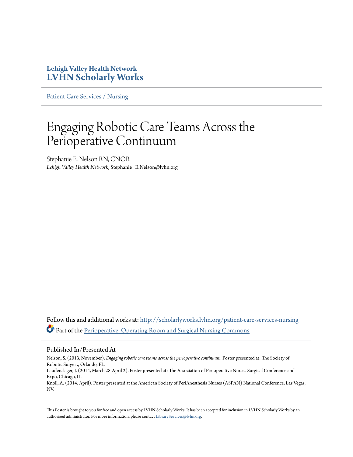#### **Lehigh Valley Health Network [LVHN Scholarly Works](http://scholarlyworks.lvhn.org?utm_source=scholarlyworks.lvhn.org%2Fpatient-care-services-nursing%2F289&utm_medium=PDF&utm_campaign=PDFCoverPages)**

[Patient Care Services / Nursing](http://scholarlyworks.lvhn.org/patient-care-services-nursing?utm_source=scholarlyworks.lvhn.org%2Fpatient-care-services-nursing%2F289&utm_medium=PDF&utm_campaign=PDFCoverPages)

## Engaging Robotic Care Teams Across the Perioperative Continuum

Stephanie E. Nelson RN, CNOR *Lehigh Valley Health Network*, Stephanie\_E.Nelson@lvhn.org

Follow this and additional works at: [http://scholarlyworks.lvhn.org/patient-care-services-nursing](http://scholarlyworks.lvhn.org/patient-care-services-nursing?utm_source=scholarlyworks.lvhn.org%2Fpatient-care-services-nursing%2F289&utm_medium=PDF&utm_campaign=PDFCoverPages) Part of the [Perioperative, Operating Room and Surgical Nursing Commons](http://network.bepress.com/hgg/discipline/726?utm_source=scholarlyworks.lvhn.org%2Fpatient-care-services-nursing%2F289&utm_medium=PDF&utm_campaign=PDFCoverPages)

#### Published In/Presented At

Nelson, S. (2013, November). *Engaging robotic care teams across the perioperative continuum.* Poster presented at: The Society of Robotic Surgery, Orlando, FL.

Laudenslager, J. (2014, March 28-April 2). Poster presented at: The Association of Perioperative Nurses Surgical Conference and Expo, Chicago, IL.

Knoll, A. (2014, April). Poster presented at the American Society of PeriAnesthesia Nurses (ASPAN) National Conference, Las Vegas, NV.

This Poster is brought to you for free and open access by LVHN Scholarly Works. It has been accepted for inclusion in LVHN Scholarly Works by an authorized administrator. For more information, please contact [LibraryServices@lvhn.org.](mailto:LibraryServices@lvhn.org)